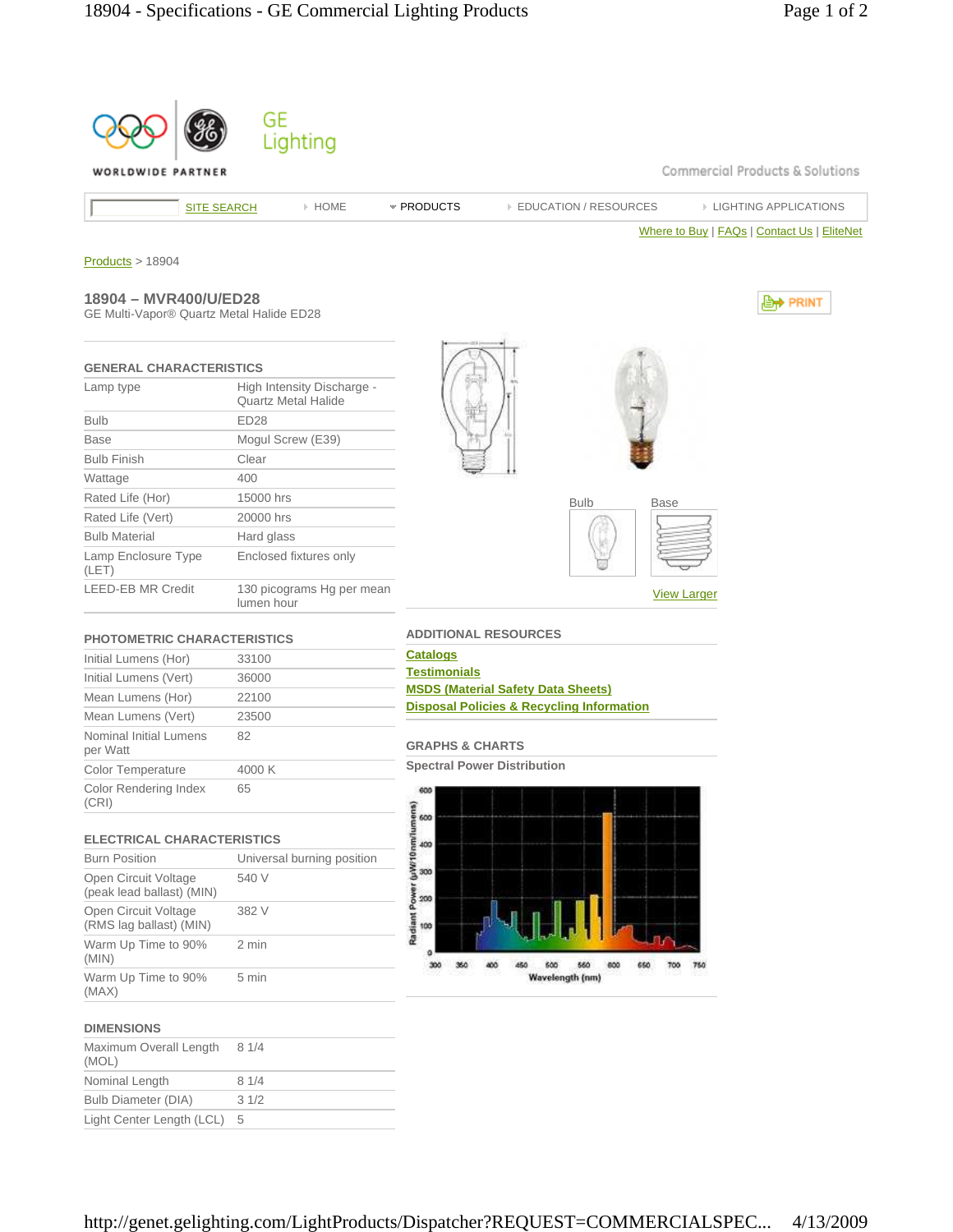

http://genet.gelighting.com/LightProducts/Dispatcher?REQUEST=COMMERCIALSPEC... 4/13/2009